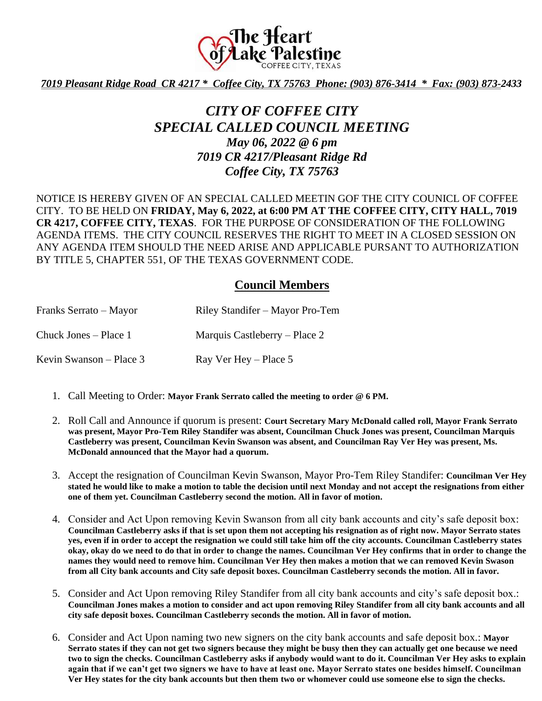

*7019 Pleasant Ridge Road CR 4217 \* Coffee City, TX 75763 Phone: (903) 876-3414 \* Fax: (903) 873-2433*

## *CITY OF COFFEE CITY SPECIAL CALLED COUNCIL MEETING May 06, 2022 @ 6 pm 7019 CR 4217/Pleasant Ridge Rd Coffee City, TX 75763*

NOTICE IS HEREBY GIVEN OF AN SPECIAL CALLED MEETIN GOF THE CITY COUNICL OF COFFEE CITY. TO BE HELD ON **FRIDAY, May 6, 2022, at 6:00 PM AT THE COFFEE CITY, CITY HALL, 7019 CR 4217, COFFEE CITY, TEXAS**. FOR THE PURPOSE OF CONSIDERATION OF THE FOLLOWING AGENDA ITEMS. THE CITY COUNCIL RESERVES THE RIGHT TO MEET IN A CLOSED SESSION ON ANY AGENDA ITEM SHOULD THE NEED ARISE AND APPLICABLE PURSANT TO AUTHORIZATION BY TITLE 5, CHAPTER 551, OF THE TEXAS GOVERNMENT CODE.

## **Council Members**

| Franks Serrato – Mayor    | Riley Standifer – Mayor Pro-Tem |
|---------------------------|---------------------------------|
| Chuck Jones – Place 1     | Marquis Castleberry – Place 2   |
| Kevin Swanson – Place $3$ | Ray Ver Hey – Place 5           |

- 1. Call Meeting to Order: **Mayor Frank Serrato called the meeting to order @ 6 PM.**
- 2. Roll Call and Announce if quorum is present: **Court Secretary Mary McDonald called roll, Mayor Frank Serrato was present, Mayor Pro-Tem Riley Standifer was absent, Councilman Chuck Jones was present, Councilman Marquis Castleberry was present, Councilman Kevin Swanson was absent, and Councilman Ray Ver Hey was present, Ms. McDonald announced that the Mayor had a quorum.**
- 3. Accept the resignation of Councilman Kevin Swanson, Mayor Pro-Tem Riley Standifer: **Councilman Ver Hey stated he would like to make a motion to table the decision until next Monday and not accept the resignations from either one of them yet. Councilman Castleberry second the motion. All in favor of motion.**
- 4. Consider and Act Upon removing Kevin Swanson from all city bank accounts and city's safe deposit box: **Councilman Castleberry asks if that is set upon them not accepting his resignation as of right now. Mayor Serrato states yes, even if in order to accept the resignation we could still take him off the city accounts. Councilman Castleberry states okay, okay do we need to do that in order to change the names. Councilman Ver Hey confirms that in order to change the names they would need to remove him. Councilman Ver Hey then makes a motion that we can removed Kevin Swason from all City bank accounts and City safe deposit boxes. Councilman Castleberry seconds the motion. All in favor.**
- 5. Consider and Act Upon removing Riley Standifer from all city bank accounts and city's safe deposit box.: **Councilman Jones makes a motion to consider and act upon removing Riley Standifer from all city bank accounts and all city safe deposit boxes. Councilman Castleberry seconds the motion. All in favor of motion.**
- 6. Consider and Act Upon naming two new signers on the city bank accounts and safe deposit box.: **Mayor Serrato states if they can not get two signers because they might be busy then they can actually get one because we need two to sign the checks. Councilman Castleberry asks if anybody would want to do it. Councilman Ver Hey asks to explain again that if we can't get two signers we have to have at least one. Mayor Serrato states one besides himself. Councilman Ver Hey states for the city bank accounts but then them two or whomever could use someone else to sign the checks.**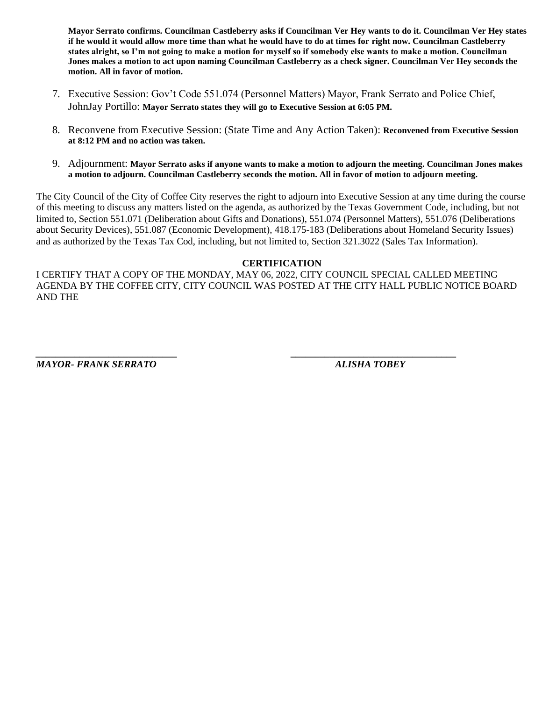**Mayor Serrato confirms. Councilman Castleberry asks if Councilman Ver Hey wants to do it. Councilman Ver Hey states if he would it would allow more time than what he would have to do at times for right now. Councilman Castleberry states alright, so I'm not going to make a motion for myself so if somebody else wants to make a motion. Councilman Jones makes a motion to act upon naming Councilman Castleberry as a check signer. Councilman Ver Hey seconds the motion. All in favor of motion.**

- 7. Executive Session: Gov't Code 551.074 (Personnel Matters) Mayor, Frank Serrato and Police Chief, JohnJay Portillo: **Mayor Serrato states they will go to Executive Session at 6:05 PM.**
- 8. Reconvene from Executive Session: (State Time and Any Action Taken): **Reconvened from Executive Session at 8:12 PM and no action was taken.**
- 9. Adjournment: **Mayor Serrato asks if anyone wants to make a motion to adjourn the meeting. Councilman Jones makes a motion to adjourn. Councilman Castleberry seconds the motion. All in favor of motion to adjourn meeting.**

The City Council of the City of Coffee City reserves the right to adjourn into Executive Session at any time during the course of this meeting to discuss any matters listed on the agenda, as authorized by the Texas Government Code, including, but not limited to, Section 551.071 (Deliberation about Gifts and Donations), 551.074 (Personnel Matters), 551.076 (Deliberations about Security Devices), 551.087 (Economic Development), 418.175-183 (Deliberations about Homeland Security Issues) and as authorized by the Texas Tax Cod, including, but not limited to, Section 321.3022 (Sales Tax Information).

## **CERTIFICATION**

I CERTIFY THAT A COPY OF THE MONDAY, MAY 06, 2022, CITY COUNCIL SPECIAL CALLED MEETING AGENDA BY THE COFFEE CITY, CITY COUNCIL WAS POSTED AT THE CITY HALL PUBLIC NOTICE BOARD AND THE

*\_\_\_\_\_\_\_\_\_\_\_\_\_\_\_\_\_\_\_\_\_\_\_\_\_\_\_\_\_ \_\_\_\_\_\_\_\_\_\_\_\_\_\_\_\_\_\_\_\_\_\_\_\_\_\_\_\_\_\_\_\_\_\_*

*MAYOR- FRANK SERRATO ALISHA TOBEY*